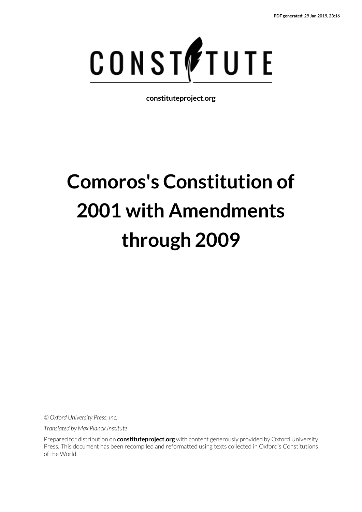

**constituteproject.org**

# **Comoros's Constitution of 2001 with Amendments through 2009**

*© Oxford University Press, Inc.*

*Translated by Max Planck Institute*

Prepared for distribution on **constituteproject.org** with content generously provided by Oxford University Press. This document has been recompiled and reformatted using texts collected in Oxford's Constitutions of the World.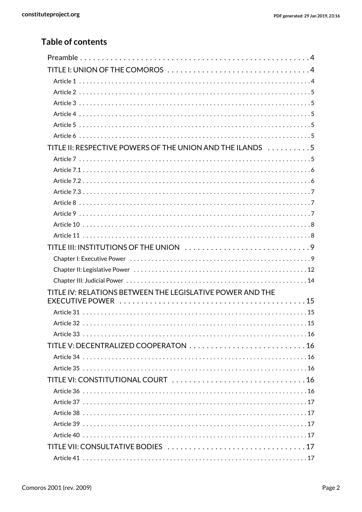### **Table of contents**

| TITLE II: RESPECTIVE POWERS OF THE UNION AND THE ILANDS 5 |
|-----------------------------------------------------------|
|                                                           |
|                                                           |
|                                                           |
|                                                           |
|                                                           |
|                                                           |
|                                                           |
|                                                           |
| TITLE III: INSTITUTIONS OF THE UNION 9                    |
|                                                           |
|                                                           |
|                                                           |
| TITLE IV: RELATIONS BETWEEN THE LEGISLATIVE POWER AND THE |
|                                                           |
|                                                           |
|                                                           |
|                                                           |
|                                                           |
|                                                           |
|                                                           |
|                                                           |
|                                                           |
|                                                           |
|                                                           |
|                                                           |
|                                                           |
|                                                           |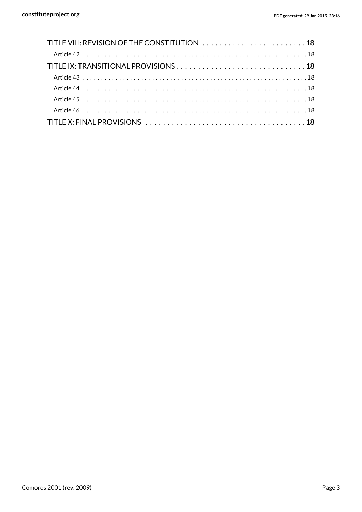| TITLE VIII: REVISION OF THE CONSTITUTION  18 |  |
|----------------------------------------------|--|
|                                              |  |
|                                              |  |
|                                              |  |
|                                              |  |
|                                              |  |
|                                              |  |
|                                              |  |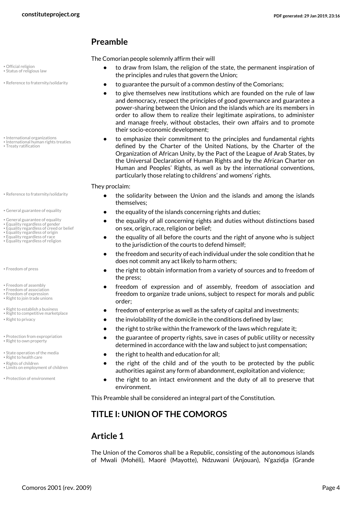#### <span id="page-3-0"></span>**Preamble**

The Comorian people solemnly affirm their will

- **•** to draw from Islam, the religion of the state, the permanent inspiration of the principles and rules that govern the Union;
- Reference to fraternity/solidarity **•• Reference to fraternity of the Comorians; •• Reference to fraternity/solidarity** 
	- **•** to give themselves new institutions which are founded on the rule of law and democracy, respect the principles of good governance and guarantee a power-sharing between the Union and the islands which are its members in order to allow them to realize their legitimate aspirations, to administer and manage freely, without obstacles, their own affairs and to promote their socio-economic development;
	- **•** to emphasize their commitment to the principles and fundamental rights defined by the Charter of the United Nations, by the Charter of the Organization of African Unity, by the Pact of the League of Arab States, by the Universal Declaration of Human Rights and by the African Charter on Human and Peoples' Rights, as well as by the international conventions, particularly those relating to childrens' and womens' rights.

#### <span id="page-3-19"></span><span id="page-3-13"></span><span id="page-3-12"></span><span id="page-3-4"></span>They proclaim:

- <span id="page-3-3"></span>**•** the solidarity between the Union and the islands and among the islands themselves;
- General guarantee of equality  **be equality of the islands concerning rights and duties;** 
	- **•** the equality of all concerning rights and duties without distinctions based on sex, origin, race, religion or belief;
- <span id="page-3-7"></span><span id="page-3-6"></span>• Equality regardless of religion **•** the equality of all before the courts and the right of anyone who is subject to the jurisdiction of the courts to defend himself;
	- **•** the freedom and security of each individual under the sole condition that he does not commit any act likely to harm others;
	- **•** the right to obtain information from a variety of sources and to freedom of the press;
	- **•** freedom of expression and of assembly, freedom of association and freedom to organize trade unions, subject to respect for morals and public order;
- **•** freedom of enterprise as well as the safety of capital and investments; Right to establish a business
- Right to privacy **•** the inviolability of the domicile in the conditions defined by law;
	- **•** the right to strike within the framework of the laws which regulate it;
	- **•** the guarantee of property rights, save in cases of public utility or necessity determined in accordance with the law and subject to just compensation;
- **•** the right to health and education for all; State operation of the media
	- **•** the right of the child and of the youth to be protected by the public authorities against any form of abandonment, exploitation and violence;
	- **•** the right to an intact environment and the duty of all to preserve that environment.

<span id="page-3-18"></span><span id="page-3-15"></span>This Preamble shall be considered an integral part of the Constitution.

#### <span id="page-3-1"></span>**TITLE I: UNION OF THE COMOROS**

#### <span id="page-3-2"></span>**Article 1**

The Union of the Comoros shall be a Republic, consisting of the autonomous islands of Mwali (Mohéli), Maoré (Mayotte), Ndzuwani (Anjouan), N'gazidja (Grande

- Official religion
- <span id="page-3-28"></span><span id="page-3-16"></span>• Status of religious law
- 

• Reference to fraternity/solidarity

<span id="page-3-14"></span>• International organizations • International human rights treaties

<span id="page-3-29"></span>• Treaty ratification

- 
- General guarantee of equality
- Equality regardless of gender
- Equality regardless of creed or belief
- <span id="page-3-5"></span>• Equality regardless of origin • Equality regardless of race
- <span id="page-3-11"></span>• Freedom of press
- <span id="page-3-10"></span><span id="page-3-9"></span><span id="page-3-8"></span>• Freedom of assembly
- Freedom of association • Freedom of expression
- <span id="page-3-23"></span>• Right to join trade unions
- <span id="page-3-21"></span><span id="page-3-20"></span>
- Right to competitive marketplace
- <span id="page-3-25"></span>
- <span id="page-3-24"></span><span id="page-3-17"></span>• Protection from expropriation • Right to own property
- <span id="page-3-27"></span><span id="page-3-22"></span>
- Right to health care
- <span id="page-3-26"></span>• Rights of children
- Limits on employment of children
- Protection of environment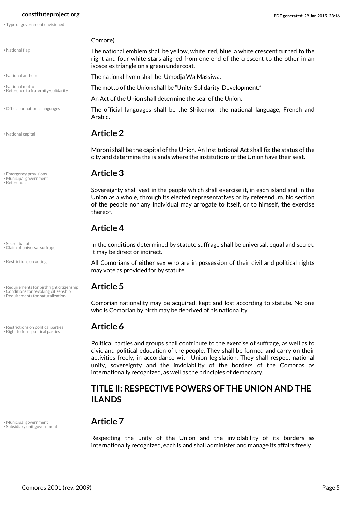• Type of government envisioned

• Reference to fraternity/solidarity

• Official or national languages

<span id="page-4-13"></span>• National flag

#### <span id="page-4-25"></span>Comore).

The national emblem shall be yellow, white, red, blue, a white crescent turned to the right and four white stars aligned from one end of the crescent to the other in an isosceles triangle on a green undercoat.

<span id="page-4-11"></span>• National anthem **The national hymn shall be: Umodja Wa Massiwa.** 

<span id="page-4-14"></span> $\bullet$  National motto of the Union shall be "Unity-Solidarity-Development."

<span id="page-4-16"></span>An Act of the Union shall determine the seal of the Union.

<span id="page-4-15"></span><span id="page-4-0"></span>The official languages shall be the Shikomor, the national language, French and Arabic.

#### <span id="page-4-12"></span>• National capital **Article 2**

<span id="page-4-1"></span>Moroni shall be the capital of the Union. An Institutional Act shall fix the status of the city and determine the islands where the institutions of the Union have their seat.

## <span id="page-4-9"></span>• Emergency provisions **Article 3** • Municipal government

Sovereignty shall vest in the people which shall exercise it, in each island and in the Union as a whole, through its elected representatives or by referendum. No section of the people nor any individual may arrogate to itself, or to himself, the exercise thereof.

#### <span id="page-4-2"></span>**Article 4**

<span id="page-4-7"></span>In the conditions determined by statute suffrage shall be universal, equal and secret. It may be direct or indirect.

<span id="page-4-3"></span>All Comorians of either sex who are in possession of their civil and political rights may vote as provided for by statute.

<span id="page-4-19"></span><span id="page-4-18"></span><span id="page-4-8"></span>Comorian nationality may be acquired, kept and lost according to statute. No one who is Comorian by birth may be deprived of his nationality.

<span id="page-4-22"></span><span id="page-4-20"></span><span id="page-4-4"></span>Political parties and groups shall contribute to the exercise of suffrage, as well as to civic and political education of the people. They shall be formed and carry on their activities freely, in accordance with Union legislation. They shall respect national unity, sovereignty and the inviolability of the borders of the Comoros as internationally recognized, as well as the principles of democracy.

#### <span id="page-4-5"></span>**TITLE II: RESPECTIVE POWERS OF THE UNION AND THE ILANDS**

<span id="page-4-24"></span><span id="page-4-6"></span>Respecting the unity of the Union and the inviolability of its borders as internationally recognized, each island shall administer and manage its affairs freely.

<span id="page-4-23"></span>• Secret ballot • Claim of universal suffrage

<span id="page-4-21"></span>• Restrictions on voting

<span id="page-4-17"></span>• Referenda

• Requirements for birthright citizenship **Article 5** • Conditions for revoking citizenship

• Requirements for naturalization

• Restrictions on political parties **Article 6** • Right to form political parties

<span id="page-4-10"></span>• Municipal government **Article 7** • Subsidiary unit government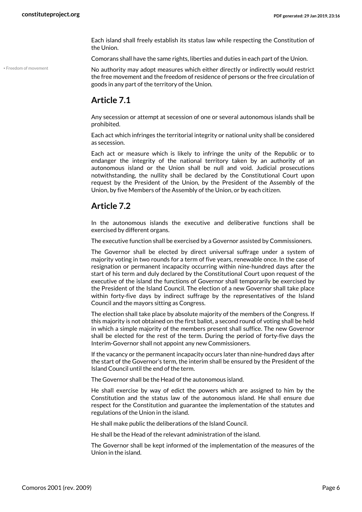Each island shall freely establish its status law while respecting the Constitution of the Union.

Comorans shall have the same rights, liberties and duties in each part of the Union.

• Freedom of movement

<span id="page-5-2"></span>No authority may adopt measures which either directly or indirectly would restrict the free movement and the freedom of residence of persons or the free circulation of goods in any part of the territory of the Union.

#### <span id="page-5-0"></span>**Article 7.1**

Any secession or attempt at secession of one or several autonomous islands shall be prohibited.

Each act which infringes the territorial integrity or national unity shall be considered as secession.

Each act or measure which is likely to infringe the unity of the Republic or to endanger the integrity of the national territory taken by an authority of an autonomous island or the Union shall be null and void. Judicial prosecutions notwithstanding, the nullity shall be declared by the Constitutional Court upon request by the President of the Union, by the President of the Assembly of the Union, by five Members of the Assembly of the Union, or by each citizen.

#### <span id="page-5-1"></span>**Article 7.2**

In the autonomous islands the executive and deliberative functions shall be exercised by different organs.

The executive function shall be exercised by a Governor assisted by Commissioners.

The Governor shall be elected by direct universal suffrage under a system of majority voting in two rounds for a term of five years, renewable once. In the case of resignation or permanent incapacity occurring within nine-hundred days after the start of his term and duly declared by the Constitutional Court upon request of the executive of the island the functions of Governor shall temporarily be exercised by the President of the Island Council. The election of a new Governor shall take place within forty-five days by indirect suffrage by the representatives of the Island Council and the mayors sitting as Congress.

The election shall take place by absolute majority of the members of the Congress. If this majority is not obtained on the first ballot, a second round of voting shall be held in which a simple majority of the members present shall suffice. The new Governor shall be elected for the rest of the term. During the period of forty-five days the Interim-Governor shall not appoint any new Commissioners.

If the vacancy or the permanent incapacity occurs later than nine-hundred days after the start of the Governor's term, the interim shall be ensured by the President of the Island Council until the end of the term.

The Governor shall be the Head of the autonomous island.

He shall exercise by way of edict the powers which are assigned to him by the Constitution and the status law of the autonomous island. He shall ensure due respect for the Constitution and guarantee the implementation of the statutes and regulations of the Union in the island.

He shall make public the deliberations of the Island Council.

He shall be the Head of the relevant administration of the island.

The Governor shall be kept informed of the implementation of the measures of the Union in the island.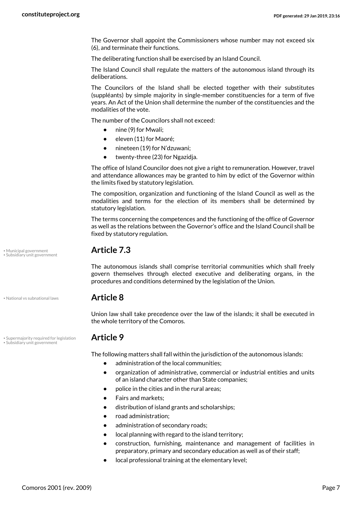The Governor shall appoint the Commissioners whose number may not exceed six (6), and terminate their functions.

The deliberating function shall be exercised by an Island Council.

The Island Council shall regulate the matters of the autonomous island through its deliberations.

The Councilors of the Island shall be elected together with their substitutes (suppléants) by simple majority in single-member constituencies for a term of five years. An Act of the Union shall determine the number of the constituencies and the modalities of the vote.

The number of the Councilors shall not exceed:

- **•** nine (9) for Mwali;
- **•** eleven (11) for Maoré;
- **•** nineteen (19) for N'dzuwani;
- **•** twenty-three (23) for Ngazidja.

The office of Island Councilor does not give a right to remuneration. However, travel and attendance allowances may be granted to him by edict of the Governor within the limits fixed by statutory legislation.

The composition, organization and functioning of the Island Council as well as the modalities and terms for the election of its members shall be determined by statutory legislation.

The terms concerning the competences and the functioning of the office of Governor as well as the relations between the Governor's office and the Island Council shall be fixed by statutory regulation.

<span id="page-6-0"></span>The autonomous islands shall comprise territorial communities which shall freely govern themselves through elected executive and deliberating organs, in the procedures and conditions determined by the legislation of the Union.

#### • National vs subnational laws **Article 8**

<span id="page-6-4"></span><span id="page-6-2"></span><span id="page-6-1"></span>Union law shall take precedence over the law of the islands; it shall be executed in the whole territory of the Comoros.

<span id="page-6-6"></span><span id="page-6-5"></span>The following matters shall fall within the jurisdiction of the autonomous islands:

- **•** administration of the local communities;
- **•** organization of administrative, commercial or industrial entities and units of an island character other than State companies;
- **•** police in the cities and in the rural areas;
- **•** Fairs and markets;
- **•** distribution of island grants and scholarships;
- **•** road administration;
- **•** administration of secondary roads;
- **•** local planning with regard to the island territory;
- **•** construction, furnishing, maintenance and management of facilities in preparatory, primary and secondary education as well as of their staff;
- **•** local professional training at the elementary level;

<span id="page-6-3"></span>• Municipal government **Article 7.3** • Subsidiary unit government

## • Supermajority required for legislation **Article 9** • Subsidiary unit government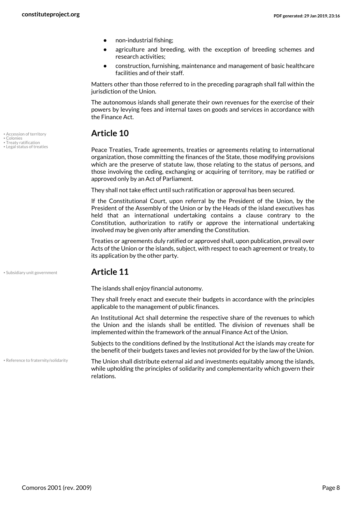- **•** non-industrial fishing;
- **•** agriculture and breeding, with the exception of breeding schemes and research activities;
- **•** construction, furnishing, maintenance and management of basic healthcare facilities and of their staff.

Matters other than those referred to in the preceding paragraph shall fall within the jurisdiction of the Union.

The autonomous islands shall generate their own revenues for the exercise of their powers by levying fees and internal taxes on goods and services in accordance with the Finance Act.

## <span id="page-7-2"></span>• Accession of territory **Article 10** • Colonies

<span id="page-7-4"></span><span id="page-7-0"></span>Peace Treaties, Trade agreements, treaties or agreements relating to international organization, those committing the finances of the State, those modifying provisions which are the preserve of statute law, those relating to the status of persons, and those involving the ceding, exchanging or acquiring of territory, may be ratified or approved only by an Act of Parliament.

They shall not take effect until such ratification or approval has been secured.

If the Constitutional Court, upon referral by the President of the Union, by the President of the Assembly of the Union or by the Heads of the island executives has held that an international undertaking contains a clause contrary to the Constitution, authorization to ratify or approve the international undertaking involved may be given only after amending the Constitution.

Treaties or agreements duly ratified or approved shall, upon publication, prevail over Acts of the Union or the islands, subject, with respect to each agreement or treaty, to its application by the other party.

• Subsidiary unit government **Article 11**

• Reference to fraternity/solidarity

<span id="page-7-7"></span><span id="page-7-3"></span>• Colomes<br>• Treaty ratification<br>• Legal status of treaties

<span id="page-7-6"></span><span id="page-7-1"></span>The islands shall enjoy financial autonomy.

They shall freely enact and execute their budgets in accordance with the principles applicable to the management of public finances.

An Institutional Act shall determine the respective share of the revenues to which the Union and the islands shall be entitled. The division of revenues shall be implemented within the framework of the annual Finance Act of the Union.

Subjects to the conditions defined by the Institutional Act the islands may create for the benefit of their budgets taxes and levies not provided for by the law of the Union.

<span id="page-7-5"></span>The Union shall distribute external aid and investments equitably among the islands, while upholding the principles of solidarity and complementarity which govern their relations.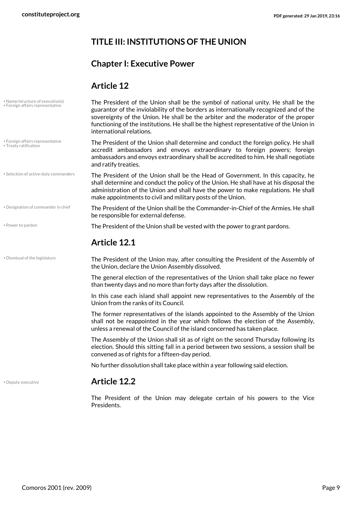### <span id="page-8-0"></span>**TITLE III: INSTITUTIONS OF THE UNION**

## <span id="page-8-1"></span>**Chapter I: Executive Power**

### <span id="page-8-8"></span><span id="page-8-6"></span><span id="page-8-5"></span><span id="page-8-3"></span>**Article 12**

<span id="page-8-9"></span><span id="page-8-7"></span><span id="page-8-4"></span><span id="page-8-2"></span>

| • Name/structure of executive(s)<br>• Foreign affairs representative | The President of the Union shall be the symbol of national unity. He shall be the<br>guarantor of the inviolability of the borders as internationally recognized and of the<br>sovereignty of the Union. He shall be the arbiter and the moderator of the proper<br>functioning of the institutions. He shall be the highest representative of the Union in<br>international relations. |
|----------------------------------------------------------------------|-----------------------------------------------------------------------------------------------------------------------------------------------------------------------------------------------------------------------------------------------------------------------------------------------------------------------------------------------------------------------------------------|
| • Foreign affairs representative<br>• Treaty ratification            | The President of the Union shall determine and conduct the foreign policy. He shall<br>accredit ambassadors and envoys extraordinary to foreign powers; foreign<br>ambassadors and envoys extraordinary shall be accredited to him. He shall negotiate<br>and ratify treaties.                                                                                                          |
| • Selection of active-duty commanders                                | The President of the Union shall be the Head of Government. In this capacity, he<br>shall determine and conduct the policy of the Union. He shall have at his disposal the<br>administration of the Union and shall have the power to make regulations. He shall<br>make appointments to civil and military posts of the Union.                                                         |
| · Designation of commander in chief                                  | The President of the Union shall be the Commander-in-Chief of the Armies. He shall<br>be responsible for external defense.                                                                                                                                                                                                                                                              |
| . Power to pardon                                                    | The President of the Union shall be vested with the power to grant pardons.                                                                                                                                                                                                                                                                                                             |
|                                                                      | Article 12.1                                                                                                                                                                                                                                                                                                                                                                            |
| · Dismissal of the legislature                                       | The President of the Union may, after consulting the President of the Assembly of<br>the Union, declare the Union Assembly dissolved.                                                                                                                                                                                                                                                   |
|                                                                      | The general election of the representatives of the Union shall take place no fewer<br>than twenty days and no more than forty days after the dissolution.                                                                                                                                                                                                                               |
|                                                                      | In this case each island shall appoint new representatives to the Assembly of the<br>Union from the ranks of its Council.                                                                                                                                                                                                                                                               |
|                                                                      | The former representatives of the islands appointed to the Assembly of the Union<br>shall not be reappointed in the year which follows the election of the Assembly,<br>unless a renewal of the Council of the island concerned has taken place.                                                                                                                                        |
|                                                                      | The Assembly of the Union shall sit as of right on the second Thursday following its<br>election. Should this sitting fall in a period between two sessions, a session shall be<br>convened as of rights for a fifteen-day period.                                                                                                                                                      |
|                                                                      | No further dissolution shall take place within a year following said election.                                                                                                                                                                                                                                                                                                          |
| · Deputy executive                                                   | <b>Article 12.2</b>                                                                                                                                                                                                                                                                                                                                                                     |
|                                                                      | The President of the Union may delegate certain of his powers to the Vice<br>Presidents.                                                                                                                                                                                                                                                                                                |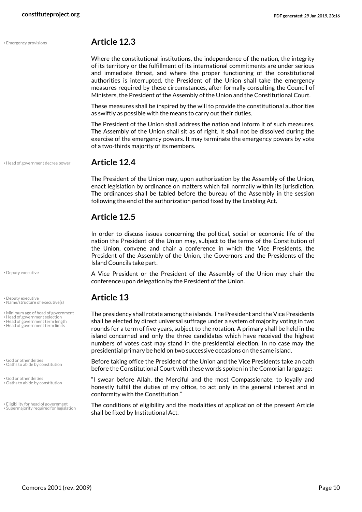<span id="page-9-2"></span>

#### • Emergency provisions **Article 12.3**

Where the constitutional institutions, the independence of the nation, the integrity of its territory or the fulfillment of its international commitments are under serious and immediate threat, and where the proper functioning of the constitutional authorities is interrupted, the President of the Union shall take the emergency measures required by these circumstances, after formally consulting the Council of Ministers, the President of the Assembly of the Union and the Constitutional Court.

These measures shall be inspired by the will to provide the constitutional authorities as swiftly as possible with the means to carry out their duties.

The President of the Union shall address the nation and inform it of such measures. The Assembly of the Union shall sit as of right. It shall not be dissolved during the exercise of the emergency powers. It may terminate the emergency powers by vote of a two-thirds majority of its members.

• Head of government decree power **Article 12.4**

<span id="page-9-4"></span>The President of the Union may, upon authorization by the Assembly of the Union, enact legislation by ordinance on matters which fall normally within its jurisdiction. The ordinances shall be tabled before the bureau of the Assembly in the session following the end of the authorization period fixed by the Enabling Act.

#### **Article 12.5**

In order to discuss issues concerning the political, social or economic life of the nation the President of the Union may, subject to the terms of the Constitution of the Union, convene and chair a conference in which the Vice Presidents, the President of the Assembly of the Union, the Governors and the Presidents of the Island Councils take part.

A Vice President or the President of the Assembly of the Union may chair the conference upon delegation by the President of the Union.

<span id="page-9-9"></span><span id="page-9-8"></span><span id="page-9-7"></span><span id="page-9-6"></span><span id="page-9-5"></span>The presidency shall rotate among the islands. The President and the Vice Presidents shall be elected by direct universal suffrage under a system of majority voting in two rounds for a term of five years, subject to the rotation. A primary shall be held in the island concerned and only the three candidates which have received the highest numbers of votes cast may stand in the presidential election. In no case may the presidential primary be held on two successive occasions on the same island.

Before taking office the President of the Union and the Vice Presidents take an oath before the Constitutional Court with these words spoken in the Comorian language:

<span id="page-9-10"></span>"I swear before Allah, the Merciful and the most Compassionate, to loyally and honestly fulfill the duties of my office, to act only in the general interest and in conformity with the Constitution."

<span id="page-9-11"></span><span id="page-9-1"></span>The conditions of eligibility and the modalities of application of the present Article shall be fixed by Institutional Act.

• Deputy executive

<span id="page-9-0"></span>• Deputy executive **Article 13** • Name/structure of executive(s)

- Minimum age of head of government
- Head of government selection Head of government term length
- Head of government term limits
- God or other deities • Oaths to abide by constitution
- <span id="page-9-3"></span>• God or other deities • Oaths to abide by constitution
- · Eligibility for head of government • Supermajority required for legislation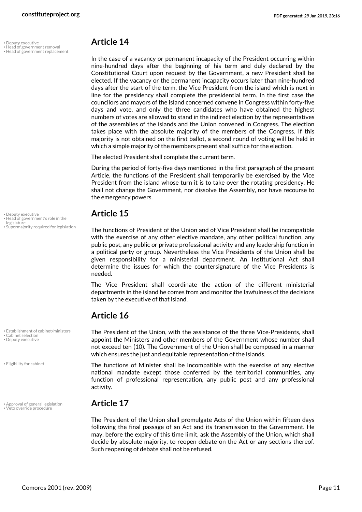- 
- 

## • Deputy executive **Article 14** • Head of government removal • Head of government replacement

<span id="page-10-6"></span><span id="page-10-5"></span>In the case of a vacancy or permanent incapacity of the President occurring within nine-hundred days after the beginning of his term and duly declared by the Constitutional Court upon request by the Government, a new President shall be elected. If the vacancy or the permanent incapacity occurs later than nine-hundred days after the start of the term, the Vice President from the island which is next in line for the presidency shall complete the presidential term. In the first case the councilors and mayors of the island concerned convene in Congress within forty-five days and vote, and only the three candidates who have obtained the highest numbers of votes are allowed to stand in the indirect election by the representatives of the assemblies of the islands and the Union convened in Congress. The election takes place with the absolute majority of the members of the Congress. If this majority is not obtained on the first ballot, a second round of voting will be held in which a simple majority of the members present shall suffice for the election.

The elected President shall complete the current term.

During the period of forty-five days mentioned in the first paragraph of the present Article, the functions of the President shall temporarily be exercised by the Vice President from the island whose turn it is to take over the rotating presidency. He shall not change the Government, nor dissolve the Assembly, nor have recourse to the emergency powers.

## • Deputy executive **Article 15** • Head of government's role in the

<span id="page-10-8"></span>The functions of President of the Union and of Vice President shall be incompatible with the exercise of any other elective mandate, any other political function, any public post, any public or private professional activity and any leadership function in a political party or group. Nevertheless the Vice Presidents of the Union shall be given responsibility for a ministerial department. An Institutional Act shall determine the issues for which the countersignature of the Vice Presidents is needed.

The Vice President shall coordinate the action of the different ministerial departments in the island he comes from and monitor the lawfulness of the decisions taken by the executive of that island.

#### **Article 16**

<span id="page-10-4"></span>The President of the Union, with the assistance of the three Vice-Presidents, shall appoint the Ministers and other members of the Government whose number shall not exceed ten (10). The Government of the Union shall be composed in a manner which ensures the just and equitable representation of the islands.

The functions of Minister shall be incompatible with the exercise of any elective national mandate except those conferred by the territorial communities, any function of professional representation, any public post and any professional activity.

<span id="page-10-9"></span><span id="page-10-0"></span>The President of the Union shall promulgate Acts of the Union within fifteen days following the final passage of an Act and its transmission to the Government. He may, before the expiry of this time limit, ask the Assembly of the Union, which shall decide by absolute majority, to reopen debate on the Act or any sections thereof. Such reopening of debate shall not be refused.

<span id="page-10-1"></span>• Establishment of cabinet/ministers • Cabinet selection

<span id="page-10-7"></span>legislature<br>
• Supermaiority required for legislation

<span id="page-10-2"></span>• Deputy executive

<span id="page-10-3"></span>• Eligibility for cabinet

• Approval of general legislation **Article 17** • Veto override procedure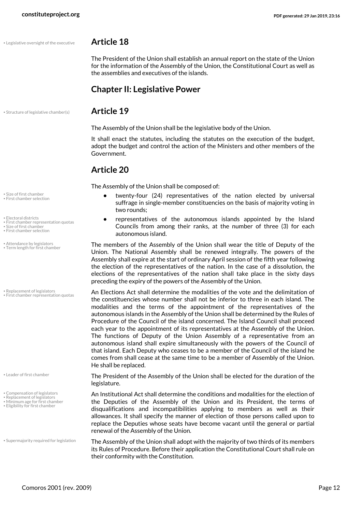#### • Legislative oversight of the executive **Article 18**

<span id="page-11-8"></span>The President of the Union shall establish an annual report on the state of the Union for the information of the Assembly of the Union, the Constitutional Court as well as the assemblies and executives of the islands.

#### <span id="page-11-0"></span>**Chapter II: Legislative Power**

• Structure of legislative chamber(s) **Article 19**

<span id="page-11-12"></span>

The Assembly of the Union shall be the legislative body of the Union.

It shall enact the statutes, including the statutes on the execution of the budget, adopt the budget and control the action of the Ministers and other members of the Government.

#### **Article 20**

The Assembly of the Union shall be composed of:

- **•** twenty-four (24) representatives of the nation elected by universal suffrage in single-member constituencies on the basis of majority voting in two rounds;
- **•** representatives of the autonomous islands appointed by the Island Councils from among their ranks, at the number of three (3) for each autonomous island.

<span id="page-11-14"></span><span id="page-11-6"></span><span id="page-11-1"></span>The members of the Assembly of the Union shall wear the title of Deputy of the Union. The National Assembly shall be renewed integrally. The powers of the Assembly shall expire at the start of ordinary April session of the fifth year following the election of the representatives of the nation. In the case of a dissolution, the elections of the representatives of the nation shall take place in the sixty days preceding the expiry of the powers of the Assembly of the Union.

<span id="page-11-5"></span>An Elections Act shall determine the modalities of the vote and the delimitation of the constituencies whose number shall not be inferior to three in each island. The modalities and the terms of the appointment of the representatives of the autonomous islands in the Assembly of the Union shall be determined by the Rules of Procedure of the Council of the island concerned. The Island Council shall proceed each year to the appointment of its representatives at the Assembly of the Union. The functions of Deputy of the Union Assembly of a representative from an autonomous island shall expire simultaneously with the powers of the Council of that island. Each Deputy who ceases to be a member of the Council of the island he comes from shall cease at the same time to be a member of Assembly of the Union. He shall be replaced.

<span id="page-11-7"></span>The President of the Assembly of the Union shall be elected for the duration of the legislature.

<span id="page-11-10"></span><span id="page-11-9"></span><span id="page-11-4"></span><span id="page-11-2"></span>An Institutional Act shall determine the conditions and modalities for the election of the Deputies of the Assembly of the Union and its President, the terms of disqualifications and incompatibilities applying to members as well as their allowances. It shall specify the manner of election of those persons called upon to replace the Deputies whose seats have become vacant until the general or partial renewal of the Assembly of the Union.

<span id="page-11-13"></span>The Assembly of the Union shall adopt with the majority of two thirds of its members its Rules of Procedure. Before their application the Constitutional Court shall rule on their conformity with the Constitution.

Size of first chamber

• First chamber selection

- <span id="page-11-3"></span>• Electoral districts
- <span id="page-11-11"></span>• First chamber representation quotas
- Size of first chamber • First chamber selection
- 

• Attendance by legislators • Term length for first chamber

• Replacement of legislators • First chamber representation quotas

• Leader of first chamber

- Compensation of legislators
- Replacement of legislators Minimum age for first chamber
- Eligibility for first chamber

• Supermajority required for legislation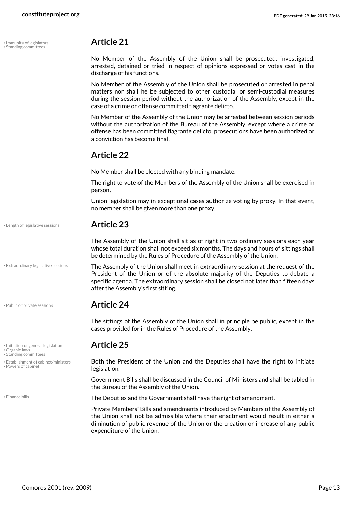| Immunity of legislators |
|-------------------------|
| Standing committees     |

#### <span id="page-12-3"></span>**Article 21**

No Member of the Assembly of the Union shall be prosecuted, investigated, arrested, detained or tried in respect of opinions expressed or votes cast in the discharge of his functions.

No Member of the Assembly of the Union shall be prosecuted or arrested in penal matters nor shall he be subjected to other custodial or semi-custodial measures during the session period without the authorization of the Assembly, except in the case of a crime or offense committed flagrante delicto.

No Member of the Assembly of the Union may be arrested between session periods without the authorization of the Bureau of the Assembly, except where a crime or offense has been committed flagrante delicto, prosecutions have been authorized or a conviction has become final.

#### **Article 22**

No Member shall be elected with any binding mandate.

The right to vote of the Members of the Assembly of the Union shall be exercised in person.

Union legislation may in exceptional cases authorize voting by proxy. In that event, no member shall be given more than one proxy.

#### • Length of legislative sessions **Article 23**

<span id="page-12-5"></span>The Assembly of the Union shall sit as of right in two ordinary sessions each year whose total duration shall not exceed six months. The days and hours of sittings shall be determined by the Rules of Procedure of the Assembly of the Union.

<span id="page-12-1"></span>The Assembly of the Union shall meet in extraordinary session at the request of the President of the Union or of the absolute majority of the Deputies to debate a specific agenda. The extraordinary session shall be closed not later than fifteen days after the Assembly's first sitting.

#### • Public or private sessions **Article 24**

<span id="page-12-8"></span>The sittings of the Assembly of the Union shall in principle be public, except in the cases provided for in the Rules of Procedure of the Assembly.

<span id="page-12-9"></span><span id="page-12-6"></span>• Standing committees

<span id="page-12-7"></span>• Establishment of cabinet/ministers • Powers of cabinet

• Extraordinary legislative sessions

### • Initiation of general legislation **Article 25** • Organic laws

<span id="page-12-4"></span><span id="page-12-0"></span>Both the President of the Union and the Deputies shall have the right to initiate legislation.

Government Bills shall be discussed in the Council of Ministers and shall be tabled in the Bureau of the Assembly of the Union.

<span id="page-12-2"></span>• Finance bills **Example 20 The Deputies and the Government shall have the right of amendment.** 

Private Members' Bills and amendments introduced by Members of the Assembly of the Union shall not be admissible where their enactment would result in either a diminution of public revenue of the Union or the creation or increase of any public expenditure of the Union.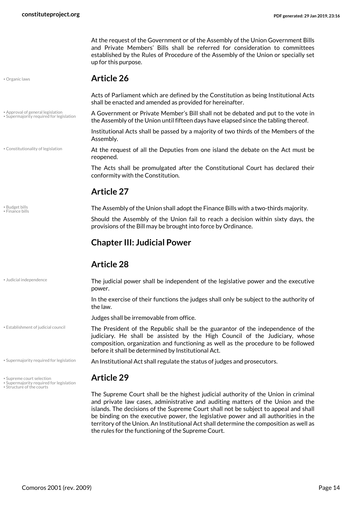At the request of the Government or of the Assembly of the Union Government Bills and Private Members' Bills shall be referred for consideration to committees established by the Rules of Procedure of the Assembly of the Union or specially set up for this purpose.

<span id="page-13-7"></span>

| <b>Article 26</b> |
|-------------------|
|                   |

Acts of Parliament which are defined by the Constitution as being Institutional Acts shall be enacted and amended as provided for hereinafter.

A Government or Private Member's Bill shall not be debated and put to the vote in the Assembly of the Union until fifteen days have elapsed since the tabling thereof. • Approval of general legislation • Supermajority required for legislation

> <span id="page-13-1"></span>Institutional Acts shall be passed by a majority of two thirds of the Members of the Assembly.

<span id="page-13-3"></span>At the request of all the Deputies from one island the debate on the Act must be reopened.

The Acts shall be promulgated after the Constitutional Court has declared their conformity with the Constitution.

#### **Article 27**

The Assembly of the Union shall adopt the Finance Bills with a two-thirds majority.

Should the Assembly of the Union fail to reach a decision within sixty days, the provisions of the Bill may be brought into force by Ordinance.

### <span id="page-13-0"></span>**Chapter III: Judicial Power**

#### **Article 28**

<span id="page-13-6"></span>The judicial power shall be independent of the legislative power and the executive power.

In the exercise of their functions the judges shall only be subject to the authority of the law.

Judges shall be irremovable from office.

<span id="page-13-4"></span>The President of the Republic shall be the guarantor of the independence of the judiciary. He shall be assisted by the High Council of the Judiciary, whose composition, organization and functioning as well as the procedure to be followed before it shall be determined by Institutional Act.

• Supermajority required for legislation **An Institutional Act shall regulate the status of judges and prosecutors.** 

<span id="page-13-10"></span><span id="page-13-9"></span><span id="page-13-8"></span>The Supreme Court shall be the highest judicial authority of the Union in criminal and private law cases, administrative and auditing matters of the Union and the islands. The decisions of the Supreme Court shall not be subject to appeal and shall be binding on the executive power, the legislative power and all authorities in the territory of the Union. An Institutional Act shall determine the composition as well as the rules for the functioning of the Supreme Court.

<span id="page-13-5"></span><span id="page-13-2"></span>• Finance bills

• Constitutionality of legislation

• Judicial independence

• Establishment of judicial council

• Supreme court selection **Article 29** • Supermajority required for legislation • Structure of the courts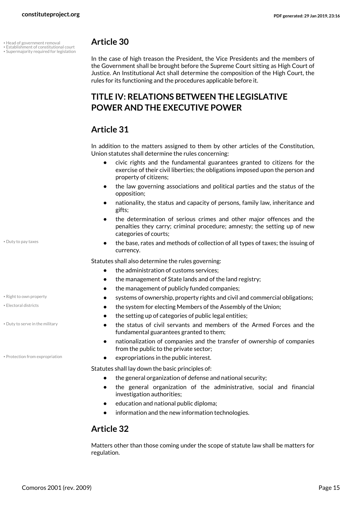## • Head of government removal **Article 30** • Establishment of constitutional court • Supermajority required for legislation

- 
- 

<span id="page-14-10"></span><span id="page-14-7"></span><span id="page-14-6"></span>In the case of high treason the President, the Vice Presidents and the members of the Government shall be brought before the Supreme Court sitting as High Court of Justice. An Institutional Act shall determine the composition of the High Court, the rules for its functioning and the procedures applicable before it.

### **TITLE IV: RELATIONS BETWEEN THE LEGISLATIVE POWER AND THE EXECUTIVE POWER**

#### <span id="page-14-1"></span>**Article 31**

In addition to the matters assigned to them by other articles of the Constitution, Union statutes shall determine the rules concerning:

- <span id="page-14-0"></span>**•** civic rights and the fundamental guarantees granted to citizens for the exercise of their civil liberties; the obligations imposed upon the person and property of citizens;
- **•** the law governing associations and political parties and the status of the opposition;
- **•** nationality, the status and capacity of persons, family law, inheritance and gifts;
- **•** the determination of serious crimes and other major offences and the penalties they carry; criminal procedure; amnesty; the setting up of new categories of courts;
- **•** the base, rates and methods of collection of all types of taxes; the issuing of currency.

Statutes shall also determine the rules governing:

- **•** the administration of customs services;
- **•** the management of State lands and of the land registry;
- **•** the management of publicly funded companies;
- Right to own property *• •* **systems of ownership, property rights and civil and commercial obligations;**
- Electoral districts **•• Electoral districts •• Clecting Members of the Assembly of the Union;** 
	- **•** the setting up of categories of public legal entities;
	- **•** the status of civil servants and members of the Armed Forces and the fundamental guarantees granted to them;
	- **•** nationalization of companies and the transfer of ownership of companies from the public to the private sector;
- Protection from expropriation **•** expropriations in the public interest.

<span id="page-14-8"></span>Statutes shall lay down the basic principles of:

- **•** the general organization of defense and national security;
- **•** the general organization of the administrative, social and financial investigation authorities;
- **•** education and national public diploma;
- <span id="page-14-2"></span>**•** information and the new information technologies.

#### **Article 32**

Matters other than those coming under the scope of statute law shall be matters for regulation.

- <span id="page-14-9"></span><span id="page-14-5"></span>
- 

<span id="page-14-3"></span>• Duty to pay taxes

<span id="page-14-4"></span>• Duty to serve in the military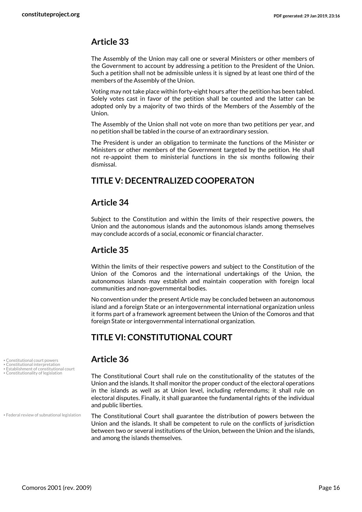#### <span id="page-15-0"></span>**Article 33**

The Assembly of the Union may call one or several Ministers or other members of the Government to account by addressing a petition to the President of the Union. Such a petition shall not be admissible unless it is signed by at least one third of the members of the Assembly of the Union.

Voting may not take place within forty-eight hours after the petition has been tabled. Solely votes cast in favor of the petition shall be counted and the latter can be adopted only by a majority of two thirds of the Members of the Assembly of the Union.

The Assembly of the Union shall not vote on more than two petitions per year, and no petition shall be tabled in the course of an extraordinary session.

The President is under an obligation to terminate the functions of the Minister or Ministers or other members of the Government targeted by the petition. He shall not re-appoint them to ministerial functions in the six months following their dismissal.

### <span id="page-15-1"></span>**TITLE V: DECENTRALIZED COOPERATON**

#### <span id="page-15-2"></span>**Article 34**

Subject to the Constitution and within the limits of their respective powers, the Union and the autonomous islands and the autonomous islands among themselves may conclude accords of a social, economic or financial character.

#### <span id="page-15-3"></span>**Article 35**

Within the limits of their respective powers and subject to the Constitution of the Union of the Comoros and the international undertakings of the Union, the autonomous islands may establish and maintain cooperation with foreign local communities and non-governmental bodies.

No convention under the present Article may be concluded between an autonomous island and a foreign State or an intergovernmental international organization unless it forms part of a framework agreement between the Union of the Comoros and that foreign State or intergovernmental international organization.

### <span id="page-15-9"></span><span id="page-15-8"></span><span id="page-15-7"></span><span id="page-15-6"></span><span id="page-15-5"></span><span id="page-15-4"></span>**TITLE VI: CONSTITUTIONAL COURT**

- 
- 
- 

• Federal review of subnational legislation

## • Constitutional court powers **Article 36** • Constitutional interpretation • Establishment of constitutional court

• Constitutionality of legislation The Constitutional Court shall rule on the constitutionality of the statutes of the Union and the islands. It shall monitor the proper conduct of the electoral operations in the islands as well as at Union level, including referendums; it shall rule on electoral disputes. Finally, it shall guarantee the fundamental rights of the individual and public liberties.

> <span id="page-15-10"></span>The Constitutional Court shall guarantee the distribution of powers between the Union and the islands. It shall be competent to rule on the conflicts of jurisdiction between two or several institutions of the Union, between the Union and the islands, and among the islands themselves.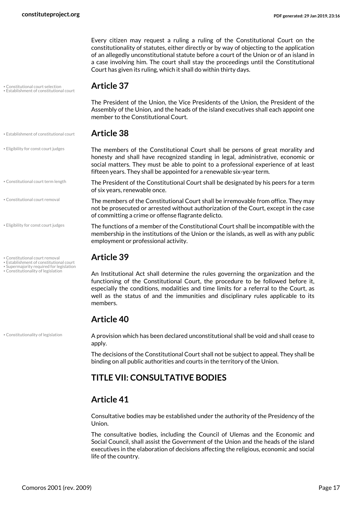Every citizen may request a ruling a ruling of the Constitutional Court on the constitutionality of statutes, either directly or by way of objecting to the application of an allegedly unconstitutional statute before a court of the Union or of an island in a case involving him. The court shall stay the proceedings until the Constitutional Court has given its ruling, which it shall do within thirty days.

• Constitutional court selection **Article 37** • Establishment of constitutional court

• Eligibility for const court judges

• Constitutional court term length

• Constitutional court removal

• Eligibility for const court judges

<span id="page-16-7"></span><span id="page-16-1"></span><span id="page-16-0"></span>The President of the Union, the Vice Presidents of the Union, the President of the Assembly of the Union, and the heads of the island executives shall each appoint one member to the Constitutional Court.

#### • Establishment of constitutional court **Article 38**

The members of the Constitutional Court shall be persons of great morality and honesty and shall have recognized standing in legal, administrative, economic or social matters. They must be able to point to a professional experience of at least fifteen years. They shall be appointed for a renewable six-year term.

<span id="page-16-8"></span>The President of the Constitutional Court shall be designated by his peers for a term of six years, renewable once.

The members of the Constitutional Court shall be irremovable from office. They may not be prosecuted or arrested without authorization of the Court, except in the case of committing a crime or offense flagrante delicto.

<span id="page-16-12"></span><span id="page-16-11"></span><span id="page-16-10"></span><span id="page-16-6"></span><span id="page-16-2"></span>The functions of a member of the Constitutional Court shall be incompatible with the membership in the institutions of the Union or the islands, as well as with any public employment or professional activity.

## • Constitutional court removal **Article 39** • Establishment of constitutional court • Supermajority required for legislation

• Constitutionality of legislation An Institutional Act shall determine the rules governing the organization and the functioning of the Constitutional Court, the procedure to be followed before it, especially the conditions, modalities and time limits for a referral to the Court, as well as the status of and the immunities and disciplinary rules applicable to its members.

### <span id="page-16-3"></span>**Article 40**

<span id="page-16-9"></span>A provision which has been declared unconstitutional shall be void and shall cease to apply.

The decisions of the Constitutional Court shall not be subject to appeal. They shall be binding on all public authorities and courts in the territory of the Union.

### <span id="page-16-4"></span>**TITLE VII: CONSULTATIVE BODIES**

### <span id="page-16-5"></span>**Article 41**

Consultative bodies may be established under the authority of the Presidency of the Union.

The consultative bodies, including the Council of Ulemas and the Economic and Social Council, shall assist the Government of the Union and the heads of the island executives in the elaboration of decisions affecting the religious, economic and social life of the country.

• Constitutionality of legislation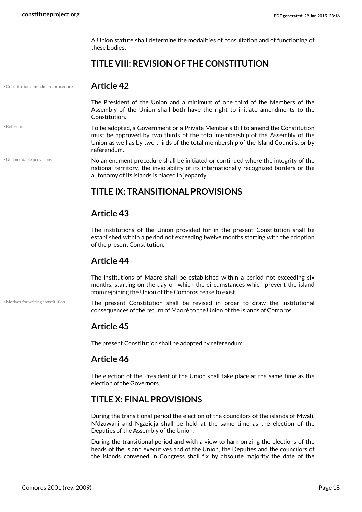A Union statute shall determine the modalities of consultation and of functioning of these bodies.

### <span id="page-17-1"></span><span id="page-17-0"></span>**TITLE VIII: REVISION OF THE CONSTITUTION**

#### • Constitution amendment procedure **Article 42**

<span id="page-17-10"></span>• Referenda

• Unamendable provisions

<span id="page-17-8"></span>The President of the Union and a minimum of one third of the Members of the Assembly of the Union shall both have the right to initiate amendments to the Constitution.

To be adopted, a Government or a Private Member's Bill to amend the Constitution must be approved by two thirds of the total membership of the Assembly of the Union as well as by two thirds of the total membership of the Island Councils, or by referendum.

<span id="page-17-11"></span>No amendment procedure shall be initiated or continued where the integrity of the national territory, the inviolability of its internationally recognized borders or the autonomy of its islands is placed in jeopardy.

### <span id="page-17-2"></span>**TITLE IX: TRANSITIONAL PROVISIONS**

#### <span id="page-17-3"></span>**Article 43**

The institutions of the Union provided for in the present Constitution shall be established within a period not exceeding twelve months starting with the adoption of the present Constitution.

### <span id="page-17-4"></span>**Article 44**

The institutions of Maoré shall be established within a period not exceeding six months, starting on the day on which the circumstances which prevent the island from rejoining the Union of the Comoros cease to exist.

• Motives for writing constitution

<span id="page-17-9"></span>The present Constitution shall be revised in order to draw the institutional consequences of the return of Maoré to the Union of the Islands of Comoros.

### <span id="page-17-5"></span>**Article 45**

The present Constitution shall be adopted by referendum.

#### <span id="page-17-6"></span>**Article 46**

The election of the President of the Union shall take place at the same time as the election of the Governors.

### <span id="page-17-7"></span>**TITLE X: FINAL PROVISIONS**

During the transitional period the election of the councilors of the islands of Mwali, N'dzuwani and Ngazidja shall be held at the same time as the election of the Deputies of the Assembly of the Union.

During the transitional period and with a view to harmonizing the elections of the heads of the island executives and of the Union, the Deputies and the councilors of the islands convened in Congress shall fix by absolute majority the date of the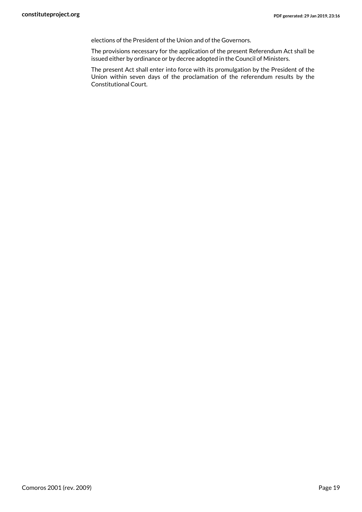elections of the President of the Union and of the Governors.

The provisions necessary for the application of the present Referendum Act shall be issued either by ordinance or by decree adopted in the Council of Ministers.

The present Act shall enter into force with its promulgation by the President of the Union within seven days of the proclamation of the referendum results by the Constitutional Court.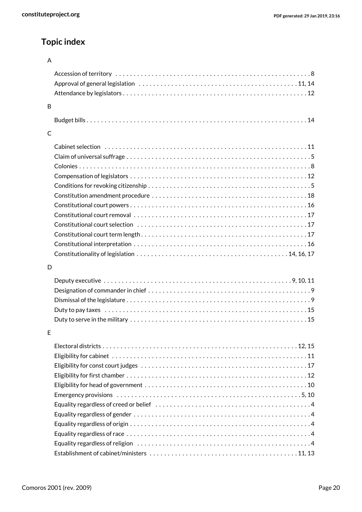### **Topic index**

#### A

| B. |  |
|----|--|

## Budget bills . . . . . . . . . . . . . . . . . . . . . . . . . . . . . . . . . . . . . . . . . . . . . . . . . . . . . . . . . . . . . [14](#page-13-2)

#### C

#### D

#### E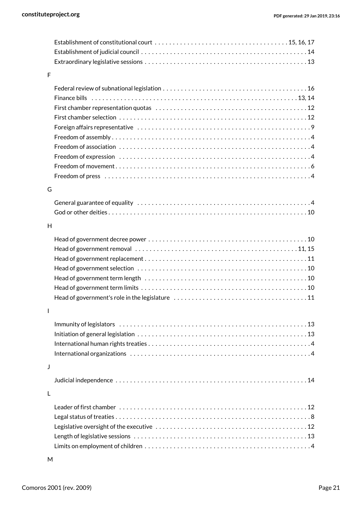| F. |  |
|----|--|
|    |  |
|    |  |
|    |  |

First chamber selection . . . . . . . . . . . . . . . . . . . . . . . . . . . . . . . . . . . . . . . . . . . . . . . . . . . . [12](#page-11-6) Foreign affairs representative . . . . . . . . . . . . . . . . . . . . . . . . . . . . . . . . . . . . . . . . . . . . . . . . [9](#page-8-5) Freedom of assembly . . . . . . . . . . . . . . . . . . . . . . . . . . . . . . . . . . . . . . . . . . . . . . . . . . . . . . . [4](#page-3-8) Freedom of association . . . . . . . . . . . . . . . . . . . . . . . . . . . . . . . . . . . . . . . . . . . . . . . . . . . . . [4](#page-3-9) Freedom of expression . . . . . . . . . . . . . . . . . . . . . . . . . . . . . . . . . . . . . . . . . . . . . . . . . . . . . [4](#page-3-10) Freedom of movement . . . . . . . . . . . . . . . . . . . . . . . . . . . . . . . . . . . . . . . . . . . . . . . . . . . . . . [6](#page-5-2) Freedom of press . . . . . . . . . . . . . . . . . . . . . . . . . . . . . . . . . . . . . . . . . . . . . . . . . . . . . . . . . [4](#page-3-11)

| e       | ٠ |
|---------|---|
| ć,<br>r |   |

#### H

| $\overline{\phantom{a}}$ |                                                                                                                                                                                 |
|--------------------------|---------------------------------------------------------------------------------------------------------------------------------------------------------------------------------|
|                          |                                                                                                                                                                                 |
|                          |                                                                                                                                                                                 |
|                          |                                                                                                                                                                                 |
|                          |                                                                                                                                                                                 |
|                          |                                                                                                                                                                                 |
|                          |                                                                                                                                                                                 |
| L                        |                                                                                                                                                                                 |
|                          |                                                                                                                                                                                 |
|                          | $\overline{a}$ and $\overline{a}$ and $\overline{a}$ and $\overline{a}$ and $\overline{a}$ and $\overline{a}$ and $\overline{a}$ and $\overline{a}$<br>Legal status of treaties |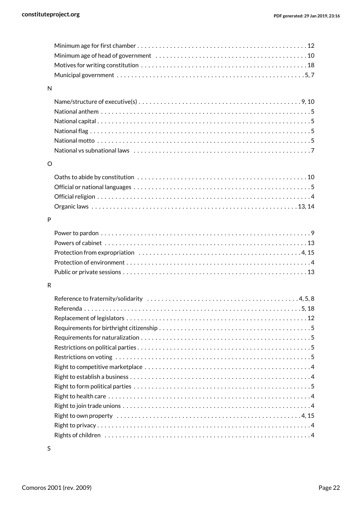| $\mathsf{N}$                                                                                                 |  |
|--------------------------------------------------------------------------------------------------------------|--|
| Name/structure of executive(s) $\dots\dots\dots\dots\dots\dots\dots\dots\dots\dots\dots\dots\dots\dots\dots$ |  |
|                                                                                                              |  |
|                                                                                                              |  |
|                                                                                                              |  |
|                                                                                                              |  |
|                                                                                                              |  |
| O                                                                                                            |  |
|                                                                                                              |  |
|                                                                                                              |  |
|                                                                                                              |  |
|                                                                                                              |  |
|                                                                                                              |  |
| P                                                                                                            |  |
|                                                                                                              |  |
|                                                                                                              |  |
| Protection from expropriation $\dots\dots\dots\dots\dots\dots\dots\dots\dots\dots\dots\dots\dots\dots$       |  |
|                                                                                                              |  |
|                                                                                                              |  |
| $\mathsf{R}$                                                                                                 |  |
|                                                                                                              |  |
|                                                                                                              |  |
|                                                                                                              |  |
|                                                                                                              |  |
|                                                                                                              |  |
|                                                                                                              |  |
|                                                                                                              |  |
|                                                                                                              |  |
|                                                                                                              |  |
|                                                                                                              |  |
|                                                                                                              |  |
|                                                                                                              |  |
|                                                                                                              |  |
|                                                                                                              |  |
|                                                                                                              |  |
|                                                                                                              |  |